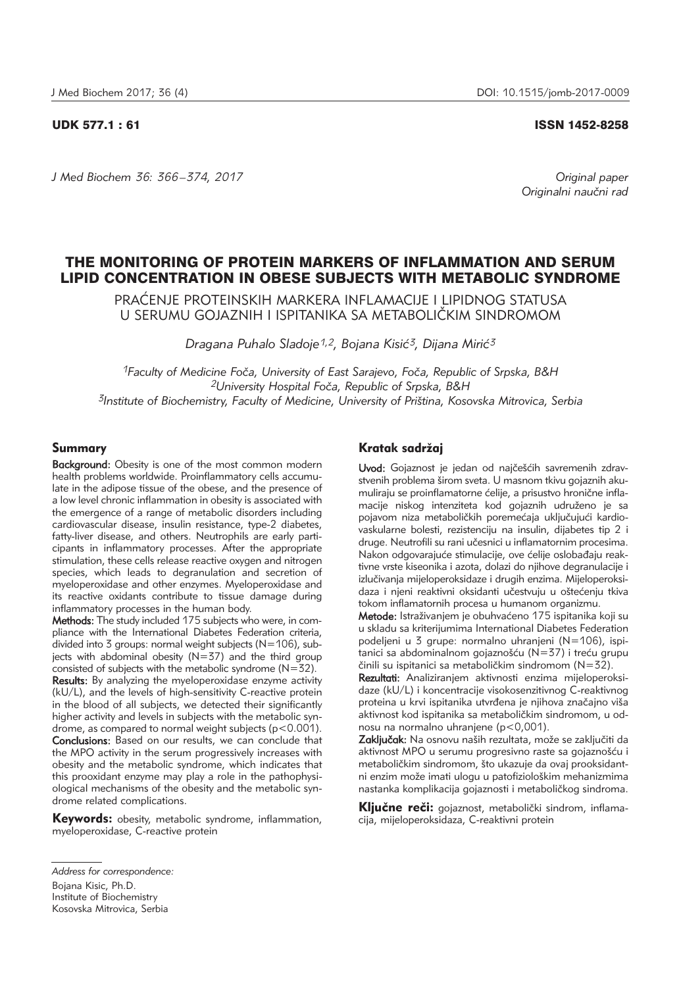*J Med Biochem 36: 366 –374, 2017 Original paper*

## UDK 577.1 : 61 ISSN 1452-8258

*Originalni nau~ni rad*

# THE MONITORING OF PROTEIN MARKERS OF INFLAMMATION AND SERUM LIPID CONCENTRATION IN OBESE SUBJECTS WITH METABOLIC SYNDROME

PRAĆENJE PROTEINSKIH MARKERA INFLAMACIJE I LIPIDNOG STATUSA U SERUMU GOJAZNIH I ISPITANIKA SA METABOLI^KIM SINDROMOM

*Dragana Puhalo Sladoje1,2, Bojana Kisi}3, Dijana Miri}3*

*1Faculty of Medicine Fo~a, University of East Sarajevo, Fo~a, Republic of Srpska, B&H 2University Hospital Fo~a, Republic of Srpska, B&H 3Institute of Biochemistry, Faculty of Medicine, University of Pri{tina, Kosovska Mitrovica, Serbia*

## Summary

Background: Obesity is one of the most common modern health problems worldwide. Proinflammatory cells accumulate in the adipose tissue of the obese, and the presence of a low level chronic inflammation in obesity is associated with the emergence of a range of metabolic disorders including cardiovascular disease, insulin resistance, type-2 diabetes, fatty-liver disease, and others. Neutrophils are early participants in inflammatory processes. After the appropriate stimulation, these cells release reactive oxygen and nitrogen species, which leads to degranulation and secretion of myeloperoxidase and other enzymes. Myeloperoxidase and its reactive oxidants contribute to tissue damage during inflammatory processes in the human body.

Methods: The study included 175 subjects who were, in compliance with the International Diabetes Federation criteria, divided into 3 groups: normal weight subjects (N=106), subjects with abdominal obesity (N=37) and the third group consisted of subjects with the metabolic syndrome (N=32). Results: By analyzing the myeloperoxidase enzyme activity (kU/L), and the levels of high-sensitivity C-reactive protein in the blood of all subjects, we detected their significantly higher activity and levels in subjects with the metabolic syndrome, as compared to normal weight subjects (p<0.001). Conclusions: Based on our results, we can conclude that the MPO activity in the serum progressively increases with obesity and the metabolic syndrome, which indicates that this prooxidant enzyme may play a role in the pathophysiological mechanisms of the obesity and the metabolic syndrome related complications.

Keywords: obesity, metabolic syndrome, inflammation, myeloperoxidase, C-reactive protein

## Kratak sadržaj

Uvod: Gojaznost je jedan od najčešćih savremenih zdravstvenih problema širom sveta. U masnom tkivu gojaznih akumuliraju se proinflamatorne ćelije, a prisustvo hronične inflamacije niskog intenziteta kod gojaznih udruženo je sa pojavom niza metaboličkih poremećaja uključujući kardiovaskularne bolesti, rezistenciju na insulin, dijabetes tip 2 i druge. Neutrofili su rani učesnici u inflamatornim procesima. Nakon odgovarajuće stimulacije, ove ćelije oslobađaju reaktivne vrste kiseonika i azota, dolazi do niihove degranulacije i izlučivanja mijeloperoksidaze i drugih enzima. Mijeloperoksidaza i njeni reaktivni oksidanti učestvuju u oštećenju tkiva tokom inflamatornih procesa u humanom organizmu.

Metode: Istraživanjem je obuhvaćeno 175 ispitanika koji su u skladu sa kriterijumima International Diabetes Federation podeljeni u 3 grupe: normalno uhranjeni (N=106), ispitanici sa abdominalnom gojaznošću  $(N=37)$  i treću grupu činili su ispitanici sa metaboličkim sindromom ( $N=32$ ).

Rezultati: Analiziranjem aktivnosti enzima mijeloperoksidaze (kU/L) i koncentracije visokosenzitivnog C-reaktivnog proteina u krvi ispitanika utvrđena je njihova značajno viša aktivnost kod ispitanika sa metaboličkim sindromom, u odnosu na normalno uhranjene (p<0,001).

Zaključak: Na osnovu naših rezultata, može se zaključiti da aktivnost MPO u serumu progresivno raste sa gojaznošću i metaboličkim sindromom, što ukazuje da ovaj prooksidantni enzim može imati ulogu u patofiziološkim mehanizmima nastanka komplikacija gojaznosti i metaboličkog sindroma.

Ključne reči: gojaznost, metabolički sindrom, inflamacija, mijeloperoksidaza, C-reaktivni protein

Bojana Kisic, Ph.D.

Institute of Biochemistry

Kosovska Mitrovica, Serbia

*Address for correspondence:*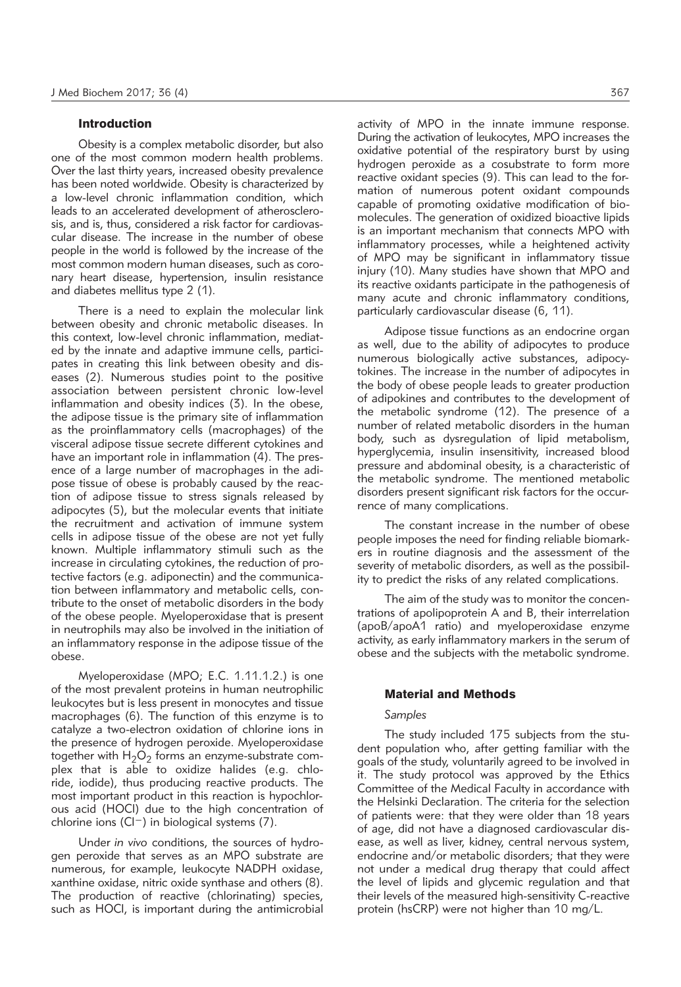## Introduction

Obesity is a complex metabolic disorder, but also one of the most common modern health problems. Over the last thirty years, increased obesity prevalence has been noted worldwide. Obesity is characterized by a low-level chronic inflammation condition, which leads to an accelerated development of atherosclerosis, and is, thus, considered a risk factor for cardiovascular disease. The increase in the number of obese people in the world is followed by the increase of the most common modern human diseases, such as coronary heart disease, hypertension, insulin resistance and diabetes mellitus type 2 (1).

There is a need to explain the molecular link between obesity and chronic metabolic diseases. In this context, low-level chronic inflammation, mediated by the innate and adaptive immune cells, participates in creating this link between obesity and diseases (2). Numerous studies point to the positive asso ciation between persistent chronic low-level inflammation and obesity indices (3). In the obese, the adipose tissue is the primary site of inflammation as the proinflammatory cells (macrophages) of the visceral adipose tissue secrete different cytokines and have an important role in inflammation (4). The presence of a large number of macrophages in the adipose tissue of obese is probably caused by the reaction of adipose tissue to stress signals released by adipocytes (5), but the molecular events that initiate the recruitment and activation of immune system cells in adipose tissue of the obese are not yet fully known. Multiple inflammatory stimuli such as the increase in circulating cytokines, the reduction of protective factors (e.g. adiponectin) and the communication between inflammatory and metabolic cells, contribute to the onset of metabolic disorders in the body of the obese people. Myeloperoxidase that is present in neutrophils may also be involved in the initiation of an inflammatory response in the adipose tissue of the obese.

Myeloperoxidase (MPO; E.C. 1.11.1.2.) is one of the most prevalent proteins in human neutrophilic leukocytes but is less present in monocytes and tissue macrophages (6). The function of this enzyme is to catalyze a two-electron oxidation of chlorine ions in the presence of hydrogen peroxide. Myeloperoxidase together with  $H_2O_2$  forms an enzyme-substrate complex that is able to oxidize halides (e.g. chloride, iodide), thus producing reactive products. The most important product in this reaction is hypochlorous acid (HOCl) due to the high concentration of chlorine ions (Cl−) in biological systems (7).

Under *in vivo* conditions, the sources of hydrogen peroxide that serves as an MPO substrate are numerous, for example, leukocyte NADPH oxidase, xanthine oxidase, nitric oxide synthase and others (8). The production of reactive (chlorinating) species, such as HOCI, is important during the antimicrobial activity of MPO in the innate immune response. During the activation of leukocytes, MPO increases the oxidative potential of the respiratory burst by using hydrogen peroxide as a cosubstrate to form more reactive oxidant species (9). This can lead to the formation of numerous potent oxidant compounds capable of promoting oxidative modification of biomolecules. The generation of oxidized bioactive lipids is an important mechanism that connects MPO with inflammatory processes, while a heightened activity of MPO may be significant in inflammatory tissue injury (10). Many studies have shown that MPO and its reactive oxidants participate in the pathogenesis of many acute and chronic inflammatory conditions, particularly cardiovascular disease (6, 11).

Adipose tissue functions as an endocrine organ as well, due to the ability of adipocytes to produce numerous biologically active substances, adipocytokines. The increase in the number of adipocytes in the body of obese people leads to greater production of adipokines and contributes to the development of the metabolic syndrome (12). The presence of a number of related metabolic disorders in the human body, such as dysregulation of lipid metabolism, hyper alveemia, insulin insensitivity, increased blood pressure and abdominal obesity, is a characteristic of the metabolic syndrome. The mentioned metabolic disorders present significant risk factors for the occurrence of many complications.

The constant increase in the number of obese people imposes the need for finding reliable biomarkers in routine diagnosis and the assessment of the severity of metabolic disorders, as well as the possibility to predict the risks of any related complications.

The aim of the study was to monitor the concentrations of apolipoprotein A and B, their interrelation (apoB/apoA1 ratio) and myeloperoxidase enzyme activity, as early inflammatory markers in the serum of obese and the subjects with the metabolic syndrome.

## Material and Methods

#### *Samples*

The study included 175 subjects from the student population who, after getting familiar with the goals of the study, voluntarily agreed to be involved in it. The study protocol was approved by the Ethics Committee of the Medical Faculty in accordance with the Helsinki Declaration. The criteria for the selection of patients were: that they were older than 18 years of age, did not have a diagnosed cardiovascular disease, as well as liver, kidney, central nervous system, endocrine and/or metabolic disorders; that they were not under a medical drug therapy that could affect the level of lipids and glycemic regulation and that their levels of the measured high-sensitivity C-reactive protein (hsCRP) were not higher than 10 mg/L.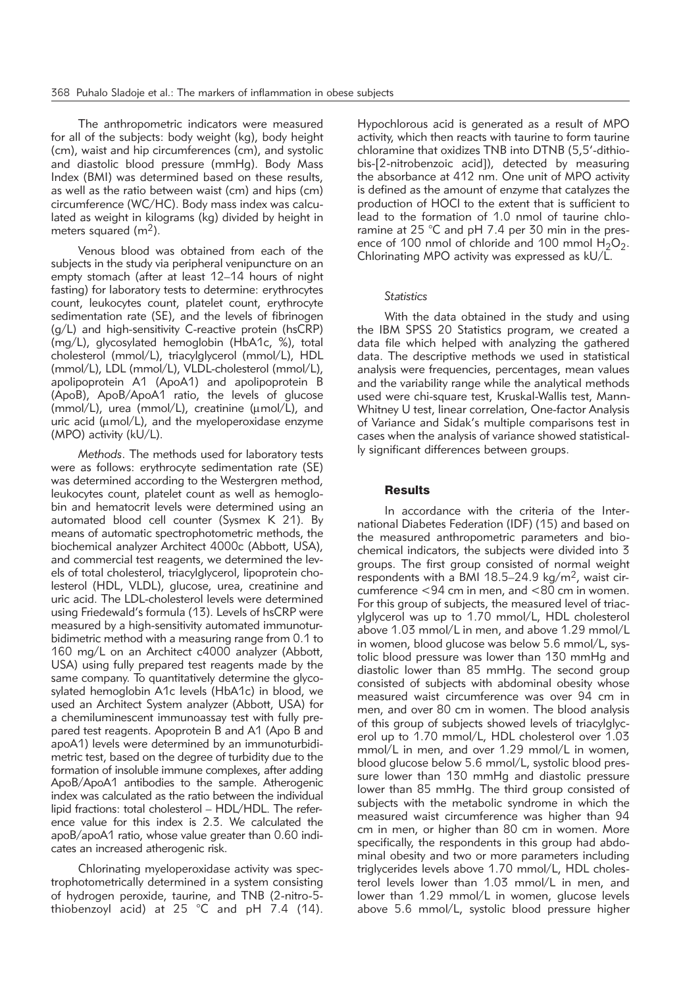The anthropometric indicators were measured for all of the subjects: body weight (kg), body height (cm), waist and hip circumferences (cm), and systolic and diastolic blood pressure (mmHg). Body Mass Index (BMI) was determined based on these results, as well as the ratio between waist (cm) and hips (cm) circumference (WC/HC). Body mass index was calculated as weight in kilograms (kg) divided by height in meters squared  $(m<sup>2</sup>)$ .

Venous blood was obtained from each of the subjects in the study via peripheral venipuncture on an empty stomach (after at least 12–14 hours of night fasting) for laboratory tests to determine: erythrocytes count, leukocytes count, platelet count, erythrocyte sedimentation rate (SE), and the levels of fibrinogen (g/L) and high-sensitivity C-reactive protein (hsCRP) (mg/L), glycosylated hemoglobin (HbA1c, %), total cholesterol (mmol/L), triacylglycerol (mmol/L), HDL (mmol/L), LDL (mmol/L), VLDL-cholesterol (mmol/L), apolipoprotein A1 (ApoA1) and apolipoprotein B (ApoB), ApoB/ApoA1 ratio, the levels of glucose (mmol/L), urea (mmol/L), creatinine ( $\mu$ mol/L), and uric acid ( $\mu$ mol/L), and the myeloperoxidase enzyme (MPO) activity (kU/L).

*Methods*. The methods used for laboratory tests were as follows: erythrocyte sedimentation rate (SE) was determined according to the Westergren method, leukocytes count, platelet count as well as hemoglobin and hematocrit levels were determined using an automated blood cell counter (Sysmex K 21). By means of automatic spectrophotometric methods, the biochemical analyzer Architect 4000c (Abbott, USA), and commercial test reagents, we determined the levels of total cholesterol, triacylglycerol, lipoprotein cholesterol (HDL, VLDL), glucose, urea, creatinine and uric acid. The LDL-cholesterol levels were determined using Friedewald's formula (13). Levels of hsCRP were measured by a high-sensitivity automated immunoturbidimetric method with a measuring range from 0.1 to 160 mg/L on an Architect c4000 analyzer (Abbott, USA) using fully prepared test reagents made by the same company. To quantitatively determine the glycosylated hemoglobin A1c levels (HbA1c) in blood, we used an Architect System analyzer (Abbott, USA) for a chemiluminescent immunoassay test with fully prepared test reagents. Apoprotein B and A1 (Apo B and apoA1) levels were determined by an immunoturbidimetric test, based on the degree of turbidity due to the formation of insoluble immune complexes, after adding ApoB/ApoA1 antibodies to the sample. Atherogenic index was calculated as the ratio between the individual lipid fractions: total cholesterol – HDL/HDL. The reference value for this index is 2.3. We calculated the apoB/apoA1 ratio, whose value greater than 0.60 indicates an increased atherogenic risk.

Chlorinating myeloperoxidase activity was spectrophotometrically determined in a system consisting of hydrogen peroxide, taurine, and TNB (2-nitro-5 thiobenzoyl acid) at 25  $^{\circ}$ C and pH 7.4 (14).

Hypochlorous acid is generated as a result of MPO activity, which then reacts with taurine to form taurine chloramine that oxidizes TNB into DTNB (5,5'-dithiobis-[2-nitrobenzoic acid]), detected by measuring the absorbance at 412 nm. One unit of MPO activity is defined as the amount of enzyme that catalyzes the production of HOCl to the extent that is sufficient to lead to the formation of 1.0 nmol of taurine chloramine at 25 °C and pH 7.4 per 30 min in the presence of 100 nmol of chloride and 100 mmol  $H_2O_2$ . Chlorinating MPO activity was expressed as kU/L.

## *Statistics*

With the data obtained in the study and using the IBM SPSS 20 Statistics program, we created a data file which helped with analyzing the gathered data. The descriptive methods we used in statistical analysis were frequencies, percentages, mean values and the variability range while the analytical methods used were chi-square test, Kruskal-Wallis test, Mann-Whitney U test, linear correlation, One-factor Analysis of Variance and Sidak's multiple comparisons test in cases when the analysis of variance showed statistically significant differences between groups.

### **Results**

In accordance with the criteria of the International Diabetes Federation (IDF) (15) and based on the measured anthropometric parameters and biochemical indicators, the subjects were divided into 3 groups. The first group consisted of normal weight respondents with a BMI 18.5–24.9 kg/m2, waist circumference <94 cm in men, and <80 cm in women. For this group of subjects, the measured level of triacylglycerol was up to 1.70 mmol/L, HDL cholesterol above 1.03 mmol/L in men, and above 1.29 mmol/L in women, blood glucose was below 5.6 mmol/L, systolic blood pressure was lower than 130 mmHg and diastolic lower than 85 mmHg. The second group consisted of subjects with abdominal obesity whose measured waist circumference was over 94 cm in men, and over 80 cm in women. The blood analysis of this group of subjects showed levels of triacylglycerol up to 1.70 mmol/L, HDL cholesterol over 1.03 mmol/L in men, and over 1.29 mmol/L in women, blood glucose below 5.6 mmol/L, systolic blood pressure lower than 130 mmHg and diastolic pressure lower than 85 mmHg. The third group consisted of subjects with the metabolic syndrome in which the measured waist circumference was higher than 94 cm in men, or higher than 80 cm in women. More specifically, the respondents in this group had abdominal obesity and two or more parameters including triglycerides levels above 1.70 mmol/L, HDL cholesterol levels lower than 1.03 mmol/L in men, and lower than 1.29 mmol/L in women, glucose levels above 5.6 mmol/L, systolic blood pressure higher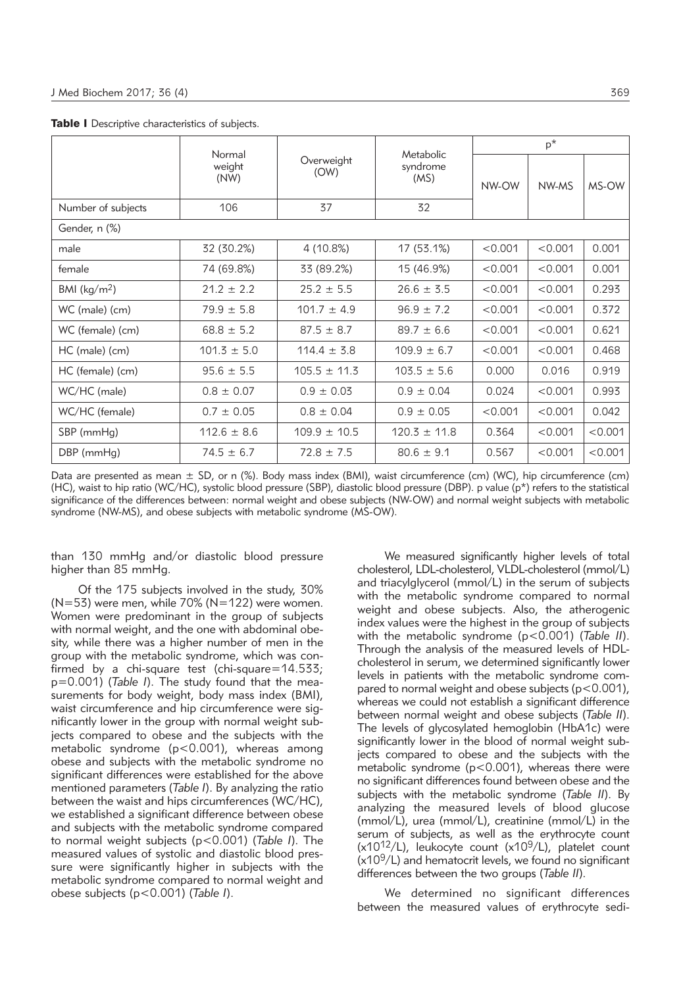|                         | Normal          |                    |                               | $p^*$   |         |         |  |
|-------------------------|-----------------|--------------------|-------------------------------|---------|---------|---------|--|
|                         | weight<br>(NW)  | Overweight<br>(OW) | Metabolic<br>syndrome<br>(MS) | NW-OW   | NW-MS   | MS-OW   |  |
| Number of subjects      | 106             | 37                 | 32                            |         |         |         |  |
| Gender, n (%)           |                 |                    |                               |         |         |         |  |
| male                    | 32 (30.2%)      | 4 (10.8%)          | 17 (53.1%)                    | < 0.001 | < 0.001 | 0.001   |  |
| female                  | 74 (69.8%)      | 33 (89.2%)         | 15 (46.9%)                    | < 0.001 | < 0.001 | 0.001   |  |
| BMI ( $\text{kg/m}^2$ ) | $21.2 \pm 2.2$  | $25.2 \pm 5.5$     | $26.6 \pm 3.5$                | < 0.001 | < 0.001 | 0.293   |  |
| WC (male) (cm)          | $79.9 \pm 5.8$  | $101.7 \pm 4.9$    | < 0.001<br>$96.9 \pm 7.2$     |         | < 0.001 | 0.372   |  |
| WC (female) (cm)        | $68.8 \pm 5.2$  | $87.5 \pm 8.7$     | $89.7 \pm 6.6$                | < 0.001 | < 0.001 | 0.621   |  |
| HC (male) (cm)          | $101.3 \pm 5.0$ | $114.4 \pm 3.8$    | $109.9 \pm 6.7$               | < 0.001 | < 0.001 | 0.468   |  |
| HC (female) (cm)        | $95.6 \pm 5.5$  | $105.5 \pm 11.3$   | $103.5 \pm 5.6$               | 0.000   | 0.016   | 0.919   |  |
| WC/HC (male)            | $0.8 \pm 0.07$  | $0.9 \pm 0.03$     | $0.9 \pm 0.04$                | 0.024   | < 0.001 | 0.993   |  |
| WC/HC (female)          | $0.7 \pm 0.05$  | $0.8 \pm 0.04$     | $0.9 \pm 0.05$                | < 0.001 | < 0.001 | 0.042   |  |
| SBP (mmHg)              | $112.6 \pm 8.6$ | $109.9 \pm 10.5$   | $120.3 \pm 11.8$              | 0.364   | < 0.001 | < 0.001 |  |
| DBP (mmHg)              | $74.5 \pm 6.7$  | $72.8 \pm 7.5$     | $80.6 \pm 9.1$                | 0.567   | < 0.001 | < 0.001 |  |

Table I Descriptive characteristics of subjects.

Data are presented as mean ± SD, or n (%). Body mass index (BMI), waist circumference (cm) (WC), hip circumference (cm) (HC), waist to hip ratio (WC/HC), systolic blood pressure (SBP), diastolic blood pressure (DBP). p value (p\*) refers to the statistical significance of the differences between: normal weight and obese subjects (NW-OW) and normal weight subjects with metabolic syndrome (NW-MS), and obese subjects with metabolic syndrome (MS-OW).

than 130 mmHg and/or diastolic blood pressure higher than 85 mmHg.

Of the 175 subjects involved in the study, 30%  $(N=53)$  were men, while 70% (N=122) were women. Women were predominant in the group of subjects with normal weight, and the one with abdominal obesity, while there was a higher number of men in the group with the metabolic syndrome, which was confirmed by a chi-square test (chi-square=14.533; p=0.001) (Table I). The study found that the measurements for body weight, body mass index (BMI), waist circumference and hip circumference were significantly lower in the group with normal weight subjects compared to obese and the subjects with the metabolic syndrome (p<0.001), whereas among obese and subjects with the metabolic syndrome no significant differences were established for the above mentioned parameters (*Table I*). By analyzing the ratio between the waist and hips circumferences (WC/HC), we established a significant difference between obese and subjects with the metabolic syndrome compared to normal weight subjects (p<0.001) (*Table I*). The measured values of systolic and diastolic blood pressure were significantly higher in subjects with the metabolic syndrome compared to normal weight and obese subjects (p<0.001) (*Table I*).

We measured significantly higher levels of total cholesterol, LDL-cholesterol, VLDL-cholesterol (mmol/L) and triacylglycerol (mmol/L) in the serum of subjects with the metabolic syndrome compared to normal weight and obese subjects. Also, the atherogenic index values were the highest in the group of subjects with the metabolic syndrome (p<0.001) (*Table II*). Through the analysis of the measured levels of HDLcholesterol in serum, we determined significantly lower levels in patients with the metabolic syndrome compared to normal weight and obese subjects ( $p < 0.001$ ), whereas we could not establish a significant difference between normal weight and obese subjects (*Table II*). The levels of glycosylated hemoglobin (HbA1c) were significantly lower in the blood of normal weight subjects compared to obese and the subjects with the metabolic syndrome ( $p < 0.001$ ), whereas there were no significant differences found between obese and the subjects with the metabolic syndrome (*Table II*). By analyzing the measured levels of blood glucose (mmol/L), urea (mmol/L), creatinine (mmol/L) in the serum of subjects, as well as the erythrocyte count  $(x10^{12}/L)$ , leukocyte count  $(x10^{9}/L)$ , platelet count  $(x10<sup>9</sup>/L)$  and hematocrit levels, we found no significant differences between the two groups (*Table II*).

We determined no significant differences between the measured values of erythrocyte sedi-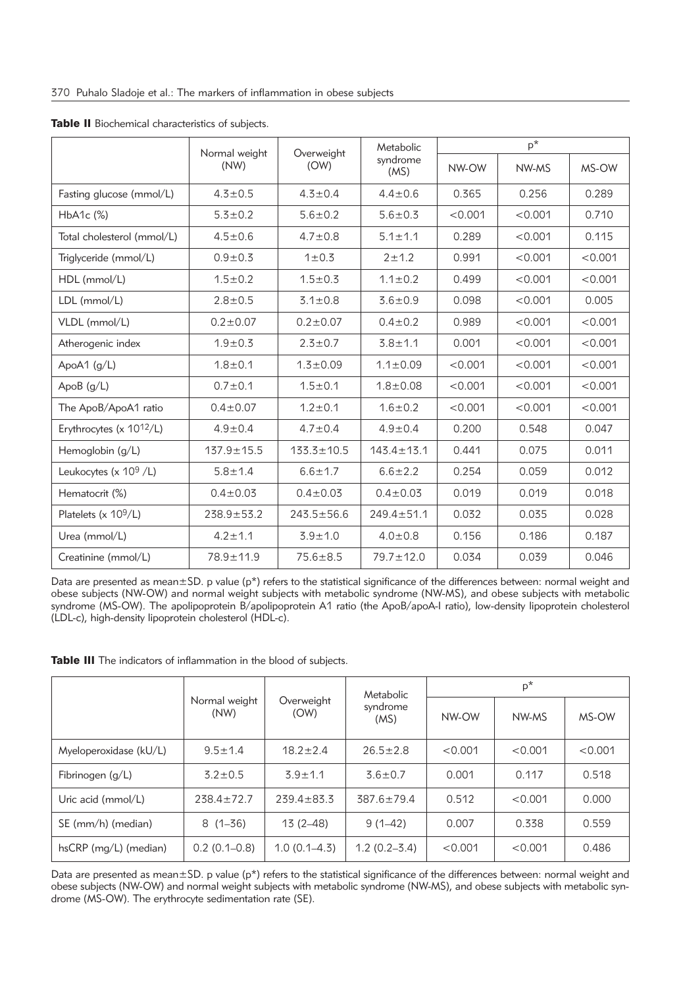|                                      | Normal weight    | Overweight       | Metabolic        | $p^*$   |         |         |  |
|--------------------------------------|------------------|------------------|------------------|---------|---------|---------|--|
|                                      | (NW)             | (OW)             | syndrome<br>(MS) | NW-OW   | NW-MS   | MS-OW   |  |
| Fasting glucose (mmol/L)             | $4.3 \pm 0.5$    | $4.3 \pm 0.4$    | $4.4 \pm 0.6$    | 0.365   | 0.256   | 0.289   |  |
| $HbA1c$ $(\%)$                       | $5.3 \pm 0.2$    | $5.6 \pm 0.2$    | $5.6 \pm 0.3$    | < 0.001 | < 0.001 | 0.710   |  |
| Total cholesterol (mmol/L)           | $4.5 + 0.6$      | $4.7 \pm 0.8$    | $5.1 \pm 1.1$    | 0.289   | < 0.001 | 0.115   |  |
| Triglyceride (mmol/L)                | $0.9 + 0.3$      | 1 ± 0.3          | $2 + 1.2$        | 0.991   | < 0.001 | < 0.001 |  |
| HDL (mmol/L)                         | $1.5 \pm 0.2$    | $1.5 + 0.3$      | $1.1 \pm 0.2$    | 0.499   | < 0.001 | < 0.001 |  |
| LDL (mmol/L)                         | $2.8 \pm 0.5$    | $3.1 \pm 0.8$    | $3.6 \pm 0.9$    | 0.098   | < 0.001 | 0.005   |  |
| VLDL (mmol/L)                        | $0.2 \pm 0.07$   | $0.2 \pm 0.07$   | $0.4 \pm 0.2$    | 0.989   | < 0.001 | < 0.001 |  |
| Atherogenic index                    | $1.9 \pm 0.3$    | $2.3 \pm 0.7$    | $3.8 + 1.1$      | 0.001   | < 0.001 | < 0.001 |  |
| ApoA1 $(g/L)$                        | $1.8 + 0.1$      | $1.3 \pm 0.09$   | $1.1 \pm 0.09$   | < 0.001 | < 0.001 | < 0.001 |  |
| ApoB $(g/L)$                         | $0.7 + 0.1$      | $1.5 + 0.1$      | $1.8 + 0.08$     | < 0.001 | < 0.001 | < 0.001 |  |
| The ApoB/ApoA1 ratio                 | $0.4 \pm 0.07$   | $1.2 \pm 0.1$    | $1.6 \pm 0.2$    | < 0.001 | < 0.001 | < 0.001 |  |
| Erythrocytes (x 10 <sup>12</sup> /L) | $4.9 \pm 0.4$    | $4.7 \pm 0.4$    | $4.9 \pm 0.4$    | 0.200   | 0.548   | 0.047   |  |
| Hemoglobin (g/L)                     | $137.9 \pm 15.5$ | $133.3 \pm 10.5$ | $143.4 \pm 13.1$ | 0.441   | 0.075   | 0.011   |  |
| Leukocytes (x $10^9$ /L)             | $5.8 \pm 1.4$    | $6.6 \pm 1.7$    | $6.6 \pm 2.2$    | 0.254   | 0.059   | 0.012   |  |
| Hematocrit (%)                       | $0.4 \pm 0.03$   | $0.4 \pm 0.03$   | $0.4 \pm 0.03$   | 0.019   | 0.019   | 0.018   |  |
| Platelets (x 10 <sup>9</sup> /L)     | $238.9 + 53.2$   | $243.5 \pm 56.6$ | $249.4 \pm 51.1$ | 0.032   | 0.035   | 0.028   |  |
| Urea (mmol/L)                        | $4.2 \pm 1.1$    | $3.9 + 1.0$      | $4.0 + 0.8$      | 0.156   | 0.186   | 0.187   |  |
| Creatinine (mmol/L)                  | 78.9±11.9        | $75.6 \pm 8.5$   | $79.7 \pm 12.0$  | 0.034   | 0.039   | 0.046   |  |

Table II Biochemical characteristics of subjects.

Data are presented as mean±SD. p value (p\*) refers to the statistical significance of the differences between: normal weight and obese subjects (NW-OW) and normal weight subjects with metabolic syndrome (NW-MS), and obese subjects with metabolic syndrome (MS-OW). The apolipoprotein B/apolipoprotein A1 ratio (the ApoB/apoA-I ratio), low-density lipoprotein cholesterol (LDL-c), high-density lipoprotein cholesterol (HDL-c).

| Table III The indicators of inflammation in the blood of subjects. |
|--------------------------------------------------------------------|
|--------------------------------------------------------------------|

|                         |                       |                    | Metabolic        | $p^*$   |         |         |  |
|-------------------------|-----------------------|--------------------|------------------|---------|---------|---------|--|
|                         | Normal weight<br>(NW) | Overweight<br>(OW) | syndrome<br>(MS) | NW-OW   | NW-MS   | MS-OW   |  |
| Myeloperoxidase (kU/L)  | $9.5 \pm 1.4$         | $18.2 \pm 2.4$     | $26.5 \pm 2.8$   | < 0.001 | < 0.001 | < 0.001 |  |
| Fibrinogen $(q/L)$      | $3.2 \pm 0.5$         | $3.9 + 1.1$        | $3.6 \pm 0.7$    | 0.001   | 0.117   | 0.518   |  |
| Uric acid (mmol/L)      | $238.4 \pm 72.7$      | $239.4 \pm 83.3$   | $387.6 \pm 79.4$ | 0.512   | < 0.001 | 0.000   |  |
| SE (mm/h) (median)      | $8(1 - 36)$           | $13(2 - 48)$       | $9(1 - 42)$      | 0.007   | 0.338   | 0.559   |  |
| $hsCRP$ (mg/L) (median) | $0.2(0.1-0.8)$        | $1.0(0.1 - 4.3)$   | $1.2(0.2 - 3.4)$ | < 0.001 | < 0.001 | 0.486   |  |

Data are presented as mean±SD. p value (p\*) refers to the statistical significance of the differences between: normal weight and obese subjects (NW-OW) and normal weight subjects with metabolic syndrome (NW-MS), and obese subjects with metabolic syndrome (MS-OW). The erythrocyte sedimentation rate (SE).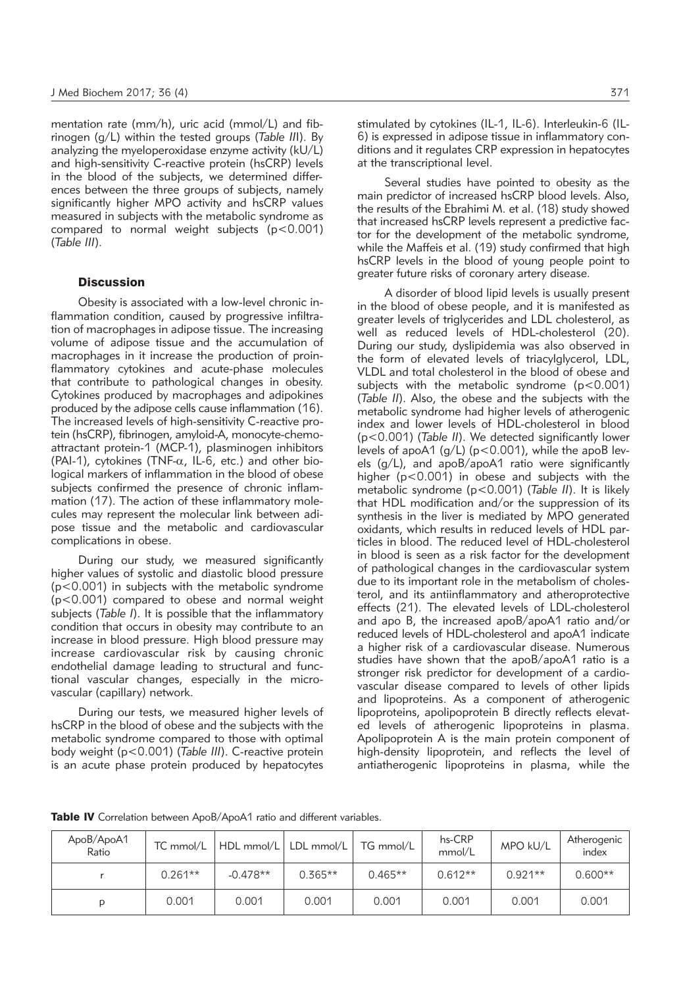mentation rate (mm/h), uric acid (mmol/L) and fibrinogen (g/L) within the tested groups (*Table II*I). By analyzing the myeloperoxidase enzyme activity (kU/L) and high-sensitivity C-reactive protein (hsCRP) levels in the blood of the subjects, we determined differences between the three groups of subjects, namely significantly higher MPO activity and hsCRP values measured in subjects with the metabolic syndrome as compared to normal weight subjects (p<0.001) (*Table III*).

## **Discussion**

Obesity is associated with a low-level chronic inflammation condition, caused by progressive infiltration of macrophages in adipose tissue. The increasing volume of adipose tissue and the accumulation of macrophages in it increase the production of proinflammatory cytokines and acute-phase molecules that contribute to pathological changes in obesity. Cytokines produced by macrophages and adipokines produced by the adipose cells cause inflammation (16). The increased levels of high-sensitivity C-reactive protein (hsCRP), fibrinogen, amyloid-A, monocyte-chemoattractant protein-1 (MCP-1), plasminogen inhibitors (PAI-1), cytokines (TNF- $\alpha$ , IL-6, etc.) and other biological markers of inflammation in the blood of obese subjects confirmed the presence of chronic inflammation (17). The action of these inflammatory molecules may represent the molecular link between adipose tissue and the metabolic and cardiovascular complications in obese.

During our study, we measured significantly higher values of systolic and diastolic blood pressure (p<0.001) in subjects with the metabolic syndrome (p<0.001) compared to obese and normal weight subjects (*Table I*). It is possible that the inflammatory condition that occurs in obesity may contribute to an increase in blood pressure. High blood pressure may increase cardiovascular risk by causing chronic endothelial damage leading to structural and functional vascular changes, especially in the microvascular (capillary) network.

During our tests, we measured higher levels of hsCRP in the blood of obese and the subjects with the metabolic syndrome compared to those with optimal body weight (p<0.001) (*Table III*). C-reactive protein is an acute phase protein produced by hepatocytes

stimulated by cytokines (IL-1, IL-6). Interleukin-6 (IL-6) is expressed in adipose tissue in inflammatory conditions and it regulates CRP expression in hepatocytes at the transcriptional level.

Several studies have pointed to obesity as the main predictor of increased hsCRP blood levels. Also, the results of the Ebrahimi M. et al. (18) study showed that increased hsCRP levels represent a predictive factor for the development of the metabolic syndrome, while the Maffeis et al. (19) study confirmed that high hsCRP levels in the blood of young people point to greater future risks of coronary artery disease.

A disorder of blood lipid levels is usually present in the blood of obese people, and it is manifested as greater levels of triglycerides and LDL cholesterol, as well as reduced levels of HDL-cholesterol (20). During our study, dyslipidemia was also observed in the form of elevated levels of triacylglycerol, LDL, VLDL and total cholesterol in the blood of obese and subjects with the metabolic syndrome (p<0.001) (*Table II*). Also, the obese and the subjects with the metabolic syndrome had higher levels of atherogenic index and lower levels of HDL-cholesterol in blood (p<0.001) (*Table II*). We detected significantly lower levels of apoA1 (g/L) ( $p$ <0.001), while the apoB levels (g/L), and apoB/apoA1 ratio were significantly higher (p<0.001) in obese and subjects with the metabolic syndrome (p<0.001) (*Table II*). It is likely that HDL modification and/or the suppression of its synthesis in the liver is mediated by MPO generated oxidants, which results in reduced levels of HDL particles in blood. The reduced level of HDL-cholesterol in blood is seen as a risk factor for the development of pathological changes in the cardiovascular system due to its important role in the metabolism of cholesterol, and its antiinflammatory and atheroprotective effects (21). The elevated levels of LDL-cholesterol and apo B, the increased apoB/apoA1 ratio and/or reduced levels of HDL-cholesterol and apoA1 indicate a higher risk of a cardiovascular disease. Numerous studies have shown that the apoB/apoA1 ratio is a stronger risk predictor for development of a cardiovascular disease compared to levels of other lipids and lipoproteins. As a component of atherogenic lipoproteins, apolipoprotein B directly reflects elevated levels of atherogenic lipoproteins in plasma. Apolipoprotein A is the main protein component of high-density lipoprotein, and reflects the level of antiatherogenic lipoproteins in plasma, while the

Table IV Correlation between ApoB/ApoA1 ratio and different variables.

| ApoB/ApoA1<br>Ratio | $TC$ mmol/ $L$ |            | HDL mmol/L   LDL mmol/L   TG mmol/L |           | hs-CRP<br>mmol/L | MPO kU/L  | Atherogenic<br>index |
|---------------------|----------------|------------|-------------------------------------|-----------|------------------|-----------|----------------------|
|                     | $0.261**$      | $-0.478**$ | $0.365**$                           | $0.465**$ | $0.612**$        | $0.921**$ | $0.600**$            |
| D                   | 0.001          | 0.001      | 0.001                               | 0.001     | 0.001            | 0.001     | 0.001                |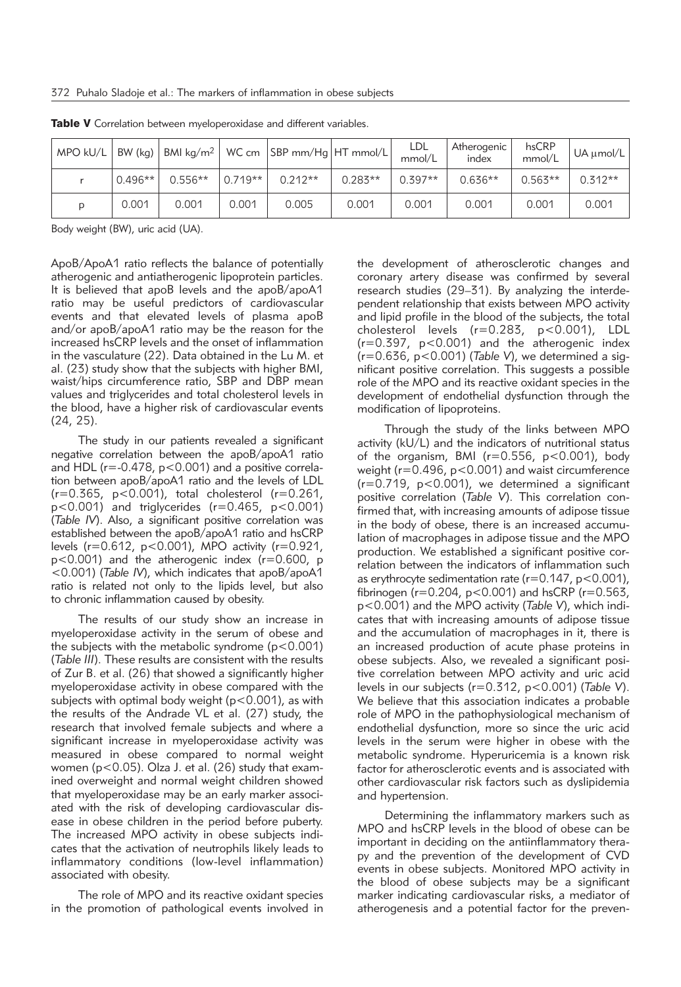| $MPO$ kU/L | BW (kg) $ $ |           |            | BMI kg/m <sup>2</sup>   WC cm   SBP mm/Hg   HT mmol/L |           | <b>LDL</b><br>mmol/L | Atherogenic<br>index | hsCRP<br>mmol/L | $UA \mu mol/L$ |
|------------|-------------|-----------|------------|-------------------------------------------------------|-----------|----------------------|----------------------|-----------------|----------------|
|            | $0.496**$   | $0.556**$ | $10.719**$ | $0.212**$                                             | $0.283**$ | $0.397**$            | $0.636**$            | $0.563**$       | $0.312**$      |
| D          | 0.001       | 0.001     | 0.001      | 0.005                                                 | 0.001     | 0.001                | 0.001                | 0.001           | 0.001          |

Table V Correlation between myeloperoxidase and different variables.

Body weight (BW), uric acid (UA).

ApoB/ApoA1 ratio reflects the balance of potentially atherogenic and antiatherogenic lipoprotein particles. It is believed that apoB levels and the apoB/apoA1 ratio may be useful predictors of cardiovascular events and that elevated levels of plasma apoB and/or apoB/apoA1 ratio may be the reason for the increased hsCRP levels and the onset of inflammation in the vasculature (22). Data obtained in the Lu M. et al. (23) study show that the subjects with higher BMI, waist/hips circumference ratio, SBP and DBP mean values and triglycerides and total cholesterol levels in the blood, have a higher risk of cardiovascular events (24, 25).

The study in our patients revealed a significant negative correlation between the apoB/apoA1 ratio and HDL (r=-0.478, p<0.001) and a positive correlation between apoB/apoA1 ratio and the levels of LDL  $(r=0.365, p<0.001)$ , total cholesterol  $(r=0.261, p<0.001)$  $p$ <0.001) and triglycerides (r=0.465,  $p$ <0.001) (*Table IV*). Also, a significant positive correlation was established between the apoB/apoA1 ratio and hsCRP levels (r=0.612, p<0.001), MPO activity (r=0.921, p<0.001) and the atherogenic index (r=0.600, p <0.001) (*Table IV*), which indicates that apoB/apoA1 ratio is related not only to the lipids level, but also to chronic inflammation caused by obesity.

The results of our study show an increase in myeloperoxidase activity in the serum of obese and the subjects with the metabolic syndrome  $(p<0.001)$ (*Table III*). These results are consistent with the results of Zur B. et al. (26) that showed a significantly higher myeloperoxidase activity in obese compared with the subjects with optimal body weight (p<0.001), as with the results of the Andrade VL et al. (27) study, the research that involved female subjects and where a significant increase in myeloperoxidase activity was measured in obese compared to normal weight women (p<0.05). Olza J. et al. (26) study that examined overweight and normal weight children showed that myeloperoxidase may be an early marker associated with the risk of developing cardiovascular disease in obese children in the period before puberty. The increased MPO activity in obese subjects indicates that the activation of neutrophils likely leads to inflammatory conditions (low-level inflammation) associated with obesity.

The role of MPO and its reactive oxidant species in the promotion of pathological events involved in the development of atherosclerotic changes and coronary artery disease was confirmed by several research studies (29–31). By analyzing the interdependent relationship that exists between MPO activity and lipid profile in the blood of the subjects, the total cholesterol levels (r=0.283, p<0.001), LDL  $(r=0.397, p<0.001)$  and the atherogenic index (r=0.636, p<0.001) (*Table V*), we determined a significant positive correlation. This suggests a possible role of the MPO and its reactive oxidant species in the development of endothelial dysfunction through the modification of lipoproteins.

Through the study of the links between MPO activity (kU/L) and the indicators of nutritional status of the organism, BMI ( $r=0.556$ ,  $p<0.001$ ), body weight (r=0.496, p<0.001) and waist circumference  $(r=0.719, p<0.001)$ , we determined a significant positive correlation (*Table V*). This correlation confirmed that, with increasing amounts of adipose tissue in the body of obese, there is an increased accumulation of macrophages in adipose tissue and the MPO production. We established a significant positive correlation between the indicators of inflammation such as erythrocyte sedimentation rate ( $r=0.147$ ,  $p<0.001$ ), fibrinogen ( $r=0.204$ ,  $p<0.001$ ) and hsCRP ( $r=0.563$ , p<0.001) and the MPO activity (*Table V*), which indicates that with increasing amounts of adipose tissue and the accumulation of macrophages in it, there is an increased production of acute phase proteins in obese subjects. Also, we revealed a significant positive correlation between MPO activity and uric acid levels in our subjects (r=0.312, p<0.001) (*Table V*). We believe that this association indicates a probable role of MPO in the pathophysiological mechanism of endothelial dysfunction, more so since the uric acid levels in the serum were higher in obese with the metabolic syndrome. Hyperuricemia is a known risk factor for atherosclerotic events and is associated with other cardiovascular risk factors such as dyslipidemia and hypertension.

Determining the inflammatory markers such as MPO and hsCRP levels in the blood of obese can be important in deciding on the antiinflammatory therapy and the prevention of the development of CVD events in obese subjects. Monitored MPO activity in the blood of obese subjects may be a significant marker indicating cardiovascular risks, a mediator of atherogenesis and a potential factor for the preven-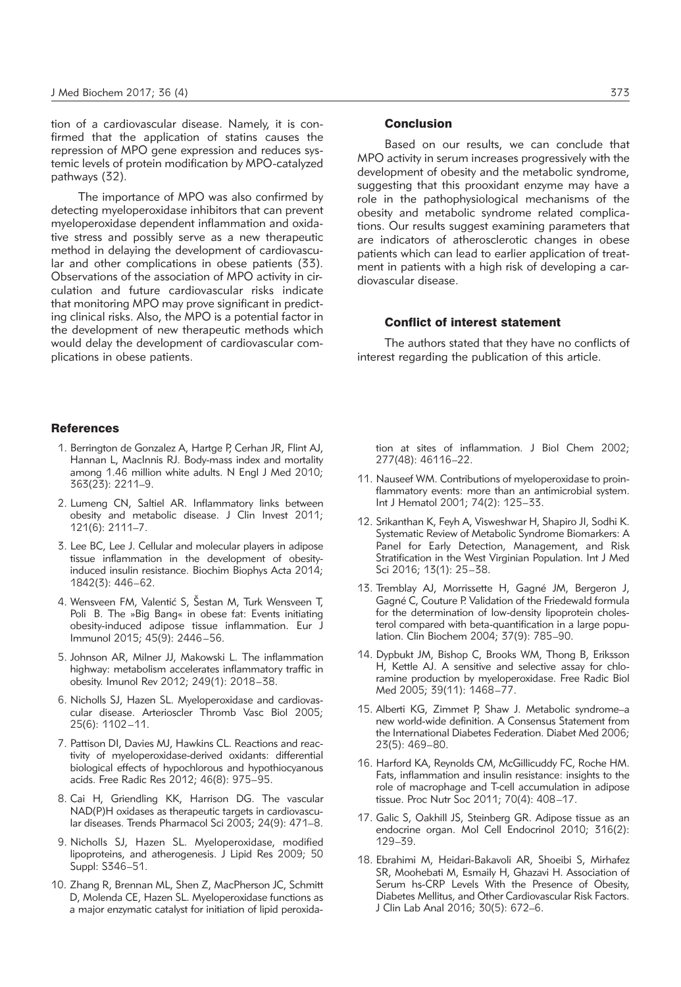tion of a cardiovascular disease. Namely, it is confirmed that the application of statins causes the repression of MPO gene expression and reduces systemic levels of protein modification by MPO-catalyzed pathways (32).

The importance of MPO was also confirmed by detecting myeloperoxidase inhibitors that can prevent myeloperoxidase dependent inflammation and oxidative stress and possibly serve as a new therapeutic method in delaying the development of cardiovascular and other complications in obese patients (33). Observations of the association of MPO activity in circulation and future cardiovascular risks indicate that monitoring MPO may prove significant in predicting clinical risks. Also, the MPO is a potential factor in the development of new therapeutic methods which would delay the development of cardiovascular complications in obese patients.

### **References**

- 1. Berrington de Gonzalez A, Hartge P, Cerhan JR, Flint AJ, Hannan L, MacInnis RJ. Body-mass index and mortality among 1.46 million white adults. N Engl J Med 2010; 363(23): 2211–9.
- 2. Lumeng CN, Saltiel AR. Inflammatory links between obesity and metabolic disease. J Clin Invest 2011; 121(6): 2111–7.
- 3. Lee BC, Lee J. Cellular and molecular players in adipose tissue inflammation in the development of obesityinduced insulin resistance. Biochim Biophys Acta 2014; 1842(3): 446–62.
- 4. Wensveen FM, Valentić S, Šestan M, Turk Wensveen T, Poli B. The »Big Bang« in obese fat: Events initiating obesity-induced adipose tissue inflammation. Eur J Immunol 2015; 45(9): 2446–56.
- 5. Johnson AR, Milner JJ, Makowski L. The inflammation highway: metabolism accelerates inflammatory traffic in obesity. Imunol Rev 2012; 249(1): 2018–38.
- 6. Nicholls SJ, Hazen SL. Myeloperoxidase and cardiovascular disease. Arterioscler Thromb Vasc Biol 2005; 25(6): 1102–11.
- 7. Pattison DI, Davies MJ, Hawkins CL. Reactions and reactivity of myeloperoxidase-derived oxidants: differential biological effects of hypochlorous and hypothiocyanous acids. Free Radic Res 2012; 46(8): 975–95.
- 8. Cai H, Griendling KK, Harrison DG. The vascular NAD(P)H oxidases as therapeutic targets in cardiovascular diseases. Trends Pharmacol Sci 2003; 24(9): 471–8.
- 9. Nicholls SJ, Hazen SL. Myeloperoxidase, modified lipoproteins, and atherogenesis. J Lipid Res 2009; 50 Suppl: S346–51.
- 10. Zhang R, Brennan ML, Shen Z, MacPherson JC, Schmitt D, Molenda CE, Hazen SL. Myeloperoxidase functions as a major enzymatic catalyst for initiation of lipid peroxida-

## Conclusion

Based on our results, we can conclude that MPO activity in serum increases progressively with the development of obesity and the metabolic syndrome, suggesting that this prooxidant enzyme may have a role in the pathophysiological mechanisms of the obesity and metabolic syndrome related complications. Our results suggest examining parameters that are indicators of atherosclerotic changes in obese patients which can lead to earlier application of treatment in patients with a high risk of developing a cardiovascular disease.

## Conflict of interest statement

The authors stated that they have no conflicts of interest regarding the publication of this article.

tion at sites of inflammation. J Biol Chem 2002; 277(48): 46116–22.

- 11. Nauseef WM. Contributions of myeloperoxidase to proinflammatory events: more than an antimicrobial system. Int J Hematol 2001; 74(2): 125–33.
- 12. Srikanthan K, Feyh A, Visweshwar H, Shapiro JI, Sodhi K. Systematic Review of Metabolic Syndrome Biomarkers: A Panel for Early Detection, Management, and Risk Stratification in the West Virginian Population. Int J Med Sci 2016; 13(1): 25–38.
- 13. Tremblay AJ, Morrissette H, Gagné JM, Bergeron J, Gagné C, Couture P. Validation of the Friedewald formula for the determination of low-density lipoprotein cholesterol compared with beta-quantification in a large population. Clin Biochem 2004; 37(9): 785–90.
- 14. Dypbukt JM, Bishop C, Brooks WM, Thong B, Eriksson H, Kettle AJ. A sensitive and selective assay for chloramine production by myeloperoxidase. Free Radic Biol Med 2005; 39(11): 1468–77.
- 15. Alberti KG, Zimmet P, Shaw J. Metabolic syndrome–a new world-wide definition. A Consensus Statement from the International Diabetes Federation. Diabet Med 2006; 23(5): 469–80.
- 16. Harford KA, Reynolds CM, McGillicuddy FC, Roche HM. Fats, inflammation and insulin resistance: insights to the role of macrophage and T-cell accumulation in adipose tissue. Proc Nutr Soc 2011; 70(4): 408–17.
- 17. Galic S, Oakhill JS, Steinberg GR. Adipose tissue as an endocrine organ. Mol Cell Endocrinol 2010; 316(2): 129–39.
- 18. Ebrahimi M, Heidari-Bakavoli AR, Shoeibi S, Mirhafez SR, Moohebati M, Esmaily H, Ghazavi H. Association of Serum hs-CRP Levels With the Presence of Obesity, Diabetes Mellitus, and Other Cardiovascular Risk Factors. J Clin Lab Anal 2016; 30(5): 672–6.